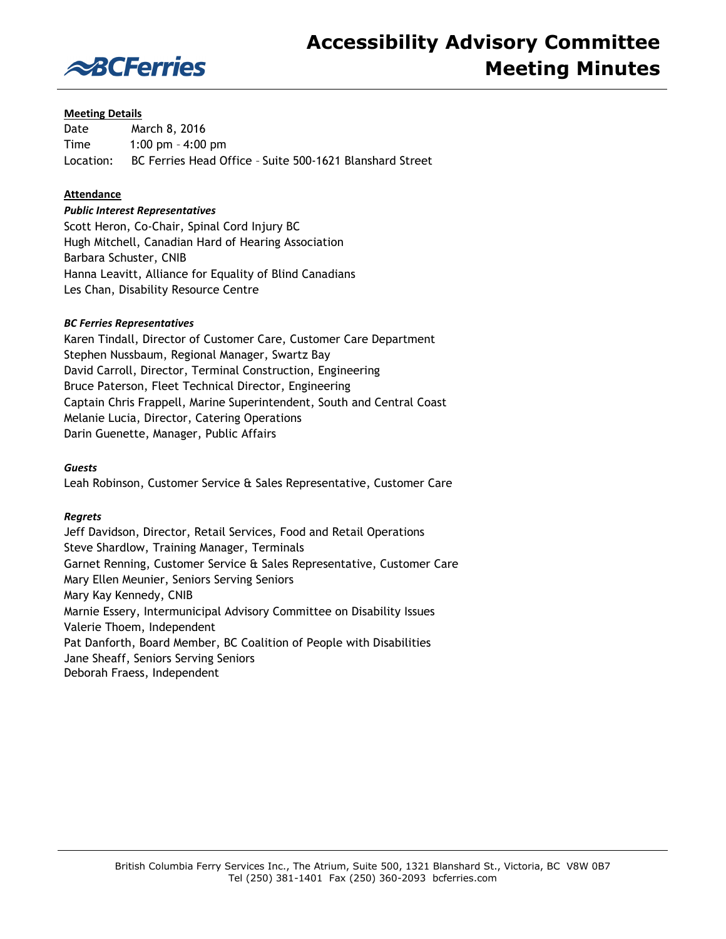

### **Meeting Details**

Date March 8, 2016 Time 1:00 pm – 4:00 pm Location: BC Ferries Head Office – Suite 500-1621 Blanshard Street

### **Attendance**

#### *Public Interest Representatives*

Scott Heron, Co-Chair, Spinal Cord Injury BC Hugh Mitchell, Canadian Hard of Hearing Association Barbara Schuster, CNIB Hanna Leavitt, Alliance for Equality of Blind Canadians Les Chan, Disability Resource Centre

#### *BC Ferries Representatives*

Karen Tindall, Director of Customer Care, Customer Care Department Stephen Nussbaum, Regional Manager, Swartz Bay David Carroll, Director, Terminal Construction, Engineering Bruce Paterson, Fleet Technical Director, Engineering Captain Chris Frappell, Marine Superintendent, South and Central Coast Melanie Lucia, Director, Catering Operations Darin Guenette, Manager, Public Affairs

#### *Guests*

Leah Robinson, Customer Service & Sales Representative, Customer Care

#### *Regrets*

Jeff Davidson, Director, Retail Services, Food and Retail Operations Steve Shardlow, Training Manager, Terminals Garnet Renning, Customer Service & Sales Representative, Customer Care Mary Ellen Meunier, Seniors Serving Seniors Mary Kay Kennedy, CNIB Marnie Essery, Intermunicipal Advisory Committee on Disability Issues Valerie Thoem, Independent Pat Danforth, Board Member, BC Coalition of People with Disabilities Jane Sheaff, Seniors Serving Seniors Deborah Fraess, Independent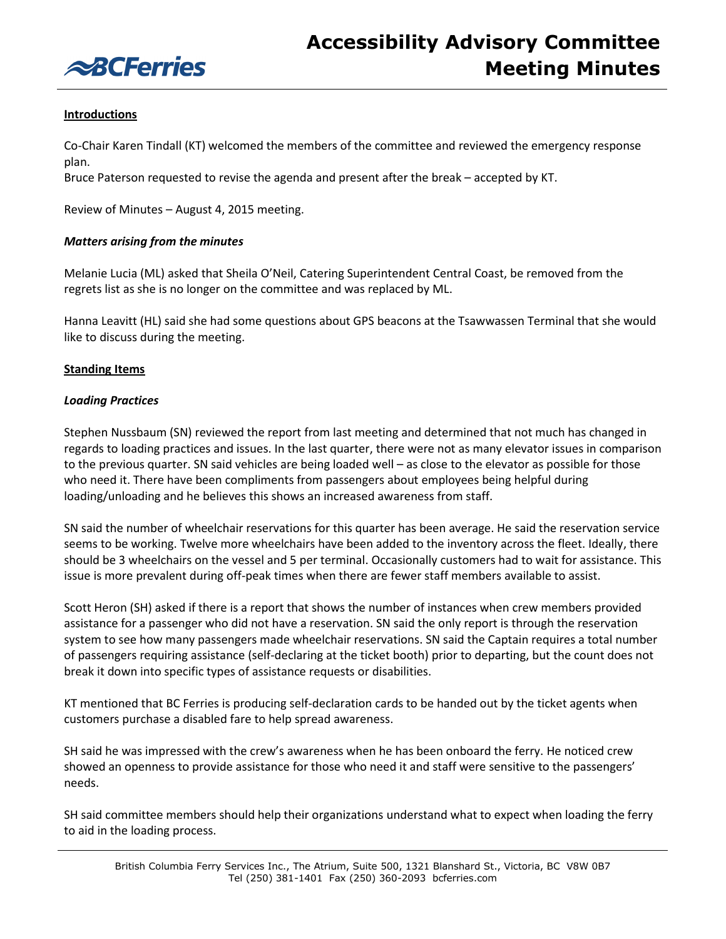

# **Introductions**

Co-Chair Karen Tindall (KT) welcomed the members of the committee and reviewed the emergency response plan.

Bruce Paterson requested to revise the agenda and present after the break – accepted by KT.

Review of Minutes – August 4, 2015 meeting.

### *Matters arising from the minutes*

Melanie Lucia (ML) asked that Sheila O'Neil, Catering Superintendent Central Coast, be removed from the regrets list as she is no longer on the committee and was replaced by ML.

Hanna Leavitt (HL) said she had some questions about GPS beacons at the Tsawwassen Terminal that she would like to discuss during the meeting.

#### **Standing Items**

#### *Loading Practices*

Stephen Nussbaum (SN) reviewed the report from last meeting and determined that not much has changed in regards to loading practices and issues. In the last quarter, there were not as many elevator issues in comparison to the previous quarter. SN said vehicles are being loaded well – as close to the elevator as possible for those who need it. There have been compliments from passengers about employees being helpful during loading/unloading and he believes this shows an increased awareness from staff.

SN said the number of wheelchair reservations for this quarter has been average. He said the reservation service seems to be working. Twelve more wheelchairs have been added to the inventory across the fleet. Ideally, there should be 3 wheelchairs on the vessel and 5 per terminal. Occasionally customers had to wait for assistance. This issue is more prevalent during off-peak times when there are fewer staff members available to assist.

Scott Heron (SH) asked if there is a report that shows the number of instances when crew members provided assistance for a passenger who did not have a reservation. SN said the only report is through the reservation system to see how many passengers made wheelchair reservations. SN said the Captain requires a total number of passengers requiring assistance (self-declaring at the ticket booth) prior to departing, but the count does not break it down into specific types of assistance requests or disabilities.

KT mentioned that BC Ferries is producing self-declaration cards to be handed out by the ticket agents when customers purchase a disabled fare to help spread awareness.

SH said he was impressed with the crew's awareness when he has been onboard the ferry. He noticed crew showed an openness to provide assistance for those who need it and staff were sensitive to the passengers' needs.

SH said committee members should help their organizations understand what to expect when loading the ferry to aid in the loading process.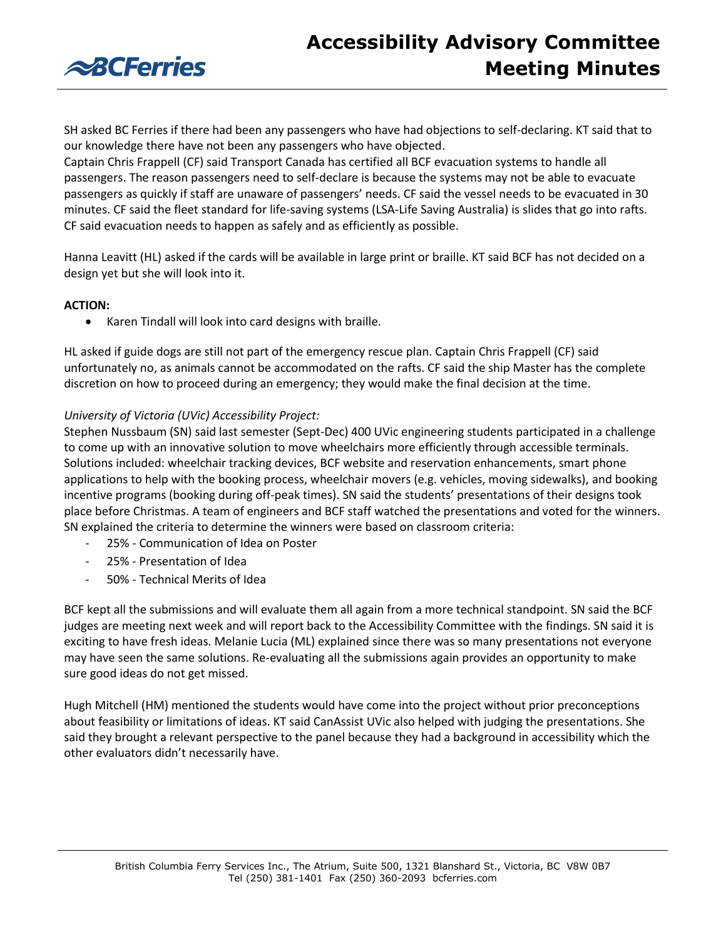



SH asked BC Ferries if there had been any passengers who have had objections to self-declaring. KT said that to our knowledge there have not been any passengers who have objected.

Captain Chris Frappell (CF) said Transport Canada has certified all BCF evacuation systems to handle all passengers. The reason passengers need to self-declare is because the systems may not be able to evacuate passengers as quickly if staff are unaware of passengers' needs. CF said the vessel needs to be evacuated in 30 minutes. CF said the fleet standard for life-saving systems (LSA-Life Saving Australia) is slides that go into rafts. CF said evacuation needs to happen as safely and as efficiently as possible.

Hanna Leavitt (HL) asked if the cards will be available in large print or braille. KT said BCF has not decided on a design yet but she will look into it.

#### **ACTION:**

Karen Tindall will look into card designs with braille.

HL asked if guide dogs are still not part of the emergency rescue plan. Captain Chris Frappell (CF) said unfortunately no, as animals cannot be accommodated on the rafts. CF said the ship Master has the complete discretion on how to proceed during an emergency; they would make the final decision at the time.

#### *University of Victoria (UVic) Accessibility Project:*

Stephen Nussbaum (SN) said last semester (Sept-Dec) 400 UVic engineering students participated in a challenge to come up with an innovative solution to move wheelchairs more efficiently through accessible terminals. Solutions included: wheelchair tracking devices, BCF website and reservation enhancements, smart phone applications to help with the booking process, wheelchair movers (e.g. vehicles, moving sidewalks), and booking incentive programs (booking during off-peak times). SN said the students' presentations of their designs took place before Christmas. A team of engineers and BCF staff watched the presentations and voted for the winners. SN explained the criteria to determine the winners were based on classroom criteria:

- 25% Communication of Idea on Poster
- 25% Presentation of Idea
- 50% Technical Merits of Idea

BCF kept all the submissions and will evaluate them all again from a more technical standpoint. SN said the BCF judges are meeting next week and will report back to the Accessibility Committee with the findings. SN said it is exciting to have fresh ideas. Melanie Lucia (ML) explained since there was so many presentations not everyone may have seen the same solutions. Re-evaluating all the submissions again provides an opportunity to make sure good ideas do not get missed.

Hugh Mitchell (HM) mentioned the students would have come into the project without prior preconceptions about feasibility or limitations of ideas. KT said CanAssist UVic also helped with judging the presentations. She said they brought a relevant perspective to the panel because they had a background in accessibility which the other evaluators didn't necessarily have.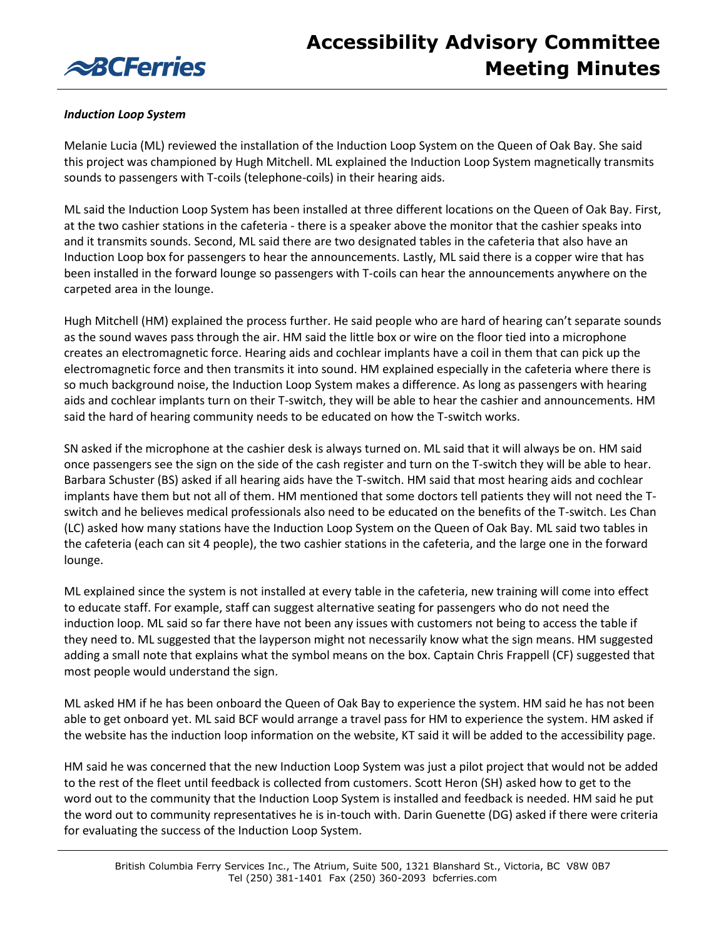

# *Induction Loop System*

Melanie Lucia (ML) reviewed the installation of the Induction Loop System on the Queen of Oak Bay. She said this project was championed by Hugh Mitchell. ML explained the Induction Loop System magnetically transmits sounds to passengers with T-coils (telephone-coils) in their hearing aids.

ML said the Induction Loop System has been installed at three different locations on the Queen of Oak Bay. First, at the two cashier stations in the cafeteria - there is a speaker above the monitor that the cashier speaks into and it transmits sounds. Second, ML said there are two designated tables in the cafeteria that also have an Induction Loop box for passengers to hear the announcements. Lastly, ML said there is a copper wire that has been installed in the forward lounge so passengers with T-coils can hear the announcements anywhere on the carpeted area in the lounge.

Hugh Mitchell (HM) explained the process further. He said people who are hard of hearing can't separate sounds as the sound waves pass through the air. HM said the little box or wire on the floor tied into a microphone creates an electromagnetic force. Hearing aids and cochlear implants have a coil in them that can pick up the electromagnetic force and then transmits it into sound. HM explained especially in the cafeteria where there is so much background noise, the Induction Loop System makes a difference. As long as passengers with hearing aids and cochlear implants turn on their T-switch, they will be able to hear the cashier and announcements. HM said the hard of hearing community needs to be educated on how the T-switch works.

SN asked if the microphone at the cashier desk is always turned on. ML said that it will always be on. HM said once passengers see the sign on the side of the cash register and turn on the T-switch they will be able to hear. Barbara Schuster (BS) asked if all hearing aids have the T-switch. HM said that most hearing aids and cochlear implants have them but not all of them. HM mentioned that some doctors tell patients they will not need the Tswitch and he believes medical professionals also need to be educated on the benefits of the T-switch. Les Chan (LC) asked how many stations have the Induction Loop System on the Queen of Oak Bay. ML said two tables in the cafeteria (each can sit 4 people), the two cashier stations in the cafeteria, and the large one in the forward lounge.

ML explained since the system is not installed at every table in the cafeteria, new training will come into effect to educate staff. For example, staff can suggest alternative seating for passengers who do not need the induction loop. ML said so far there have not been any issues with customers not being to access the table if they need to. ML suggested that the layperson might not necessarily know what the sign means. HM suggested adding a small note that explains what the symbol means on the box. Captain Chris Frappell (CF) suggested that most people would understand the sign.

ML asked HM if he has been onboard the Queen of Oak Bay to experience the system. HM said he has not been able to get onboard yet. ML said BCF would arrange a travel pass for HM to experience the system. HM asked if the website has the induction loop information on the website, KT said it will be added to the accessibility page.

HM said he was concerned that the new Induction Loop System was just a pilot project that would not be added to the rest of the fleet until feedback is collected from customers. Scott Heron (SH) asked how to get to the word out to the community that the Induction Loop System is installed and feedback is needed. HM said he put the word out to community representatives he is in-touch with. Darin Guenette (DG) asked if there were criteria for evaluating the success of the Induction Loop System.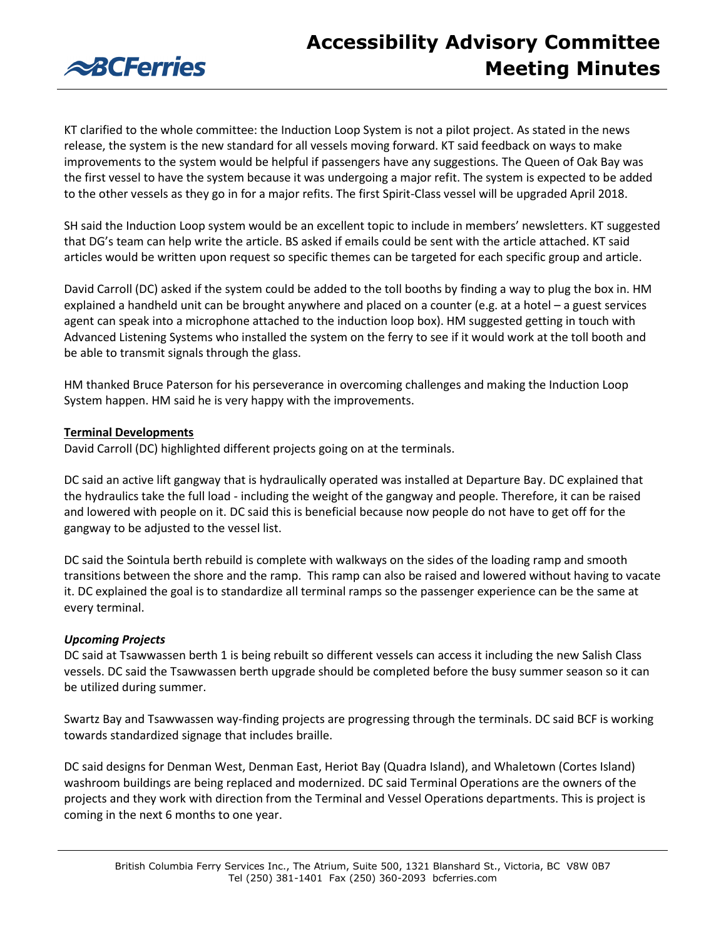

KT clarified to the whole committee: the Induction Loop System is not a pilot project. As stated in the news release, the system is the new standard for all vessels moving forward. KT said feedback on ways to make improvements to the system would be helpful if passengers have any suggestions. The Queen of Oak Bay was the first vessel to have the system because it was undergoing a major refit. The system is expected to be added to the other vessels as they go in for a major refits. The first Spirit-Class vessel will be upgraded April 2018.

SH said the Induction Loop system would be an excellent topic to include in members' newsletters. KT suggested that DG's team can help write the article. BS asked if emails could be sent with the article attached. KT said articles would be written upon request so specific themes can be targeted for each specific group and article.

David Carroll (DC) asked if the system could be added to the toll booths by finding a way to plug the box in. HM explained a handheld unit can be brought anywhere and placed on a counter (e.g. at a hotel – a guest services agent can speak into a microphone attached to the induction loop box). HM suggested getting in touch with Advanced Listening Systems who installed the system on the ferry to see if it would work at the toll booth and be able to transmit signals through the glass.

HM thanked Bruce Paterson for his perseverance in overcoming challenges and making the Induction Loop System happen. HM said he is very happy with the improvements.

### **Terminal Developments**

David Carroll (DC) highlighted different projects going on at the terminals.

DC said an active lift gangway that is hydraulically operated was installed at Departure Bay. DC explained that the hydraulics take the full load - including the weight of the gangway and people. Therefore, it can be raised and lowered with people on it. DC said this is beneficial because now people do not have to get off for the gangway to be adjusted to the vessel list.

DC said the Sointula berth rebuild is complete with walkways on the sides of the loading ramp and smooth transitions between the shore and the ramp. This ramp can also be raised and lowered without having to vacate it. DC explained the goal is to standardize all terminal ramps so the passenger experience can be the same at every terminal.

# *Upcoming Projects*

DC said at Tsawwassen berth 1 is being rebuilt so different vessels can access it including the new Salish Class vessels. DC said the Tsawwassen berth upgrade should be completed before the busy summer season so it can be utilized during summer.

Swartz Bay and Tsawwassen way-finding projects are progressing through the terminals. DC said BCF is working towards standardized signage that includes braille.

DC said designs for Denman West, Denman East, Heriot Bay (Quadra Island), and Whaletown (Cortes Island) washroom buildings are being replaced and modernized. DC said Terminal Operations are the owners of the projects and they work with direction from the Terminal and Vessel Operations departments. This is project is coming in the next 6 months to one year.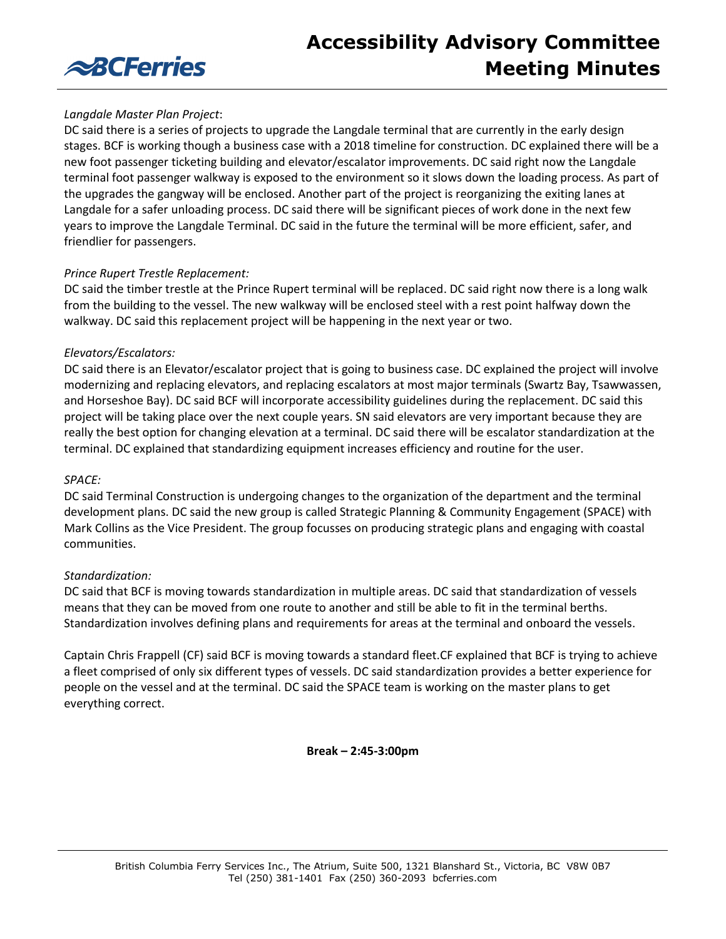

## *Langdale Master Plan Project*:

DC said there is a series of projects to upgrade the Langdale terminal that are currently in the early design stages. BCF is working though a business case with a 2018 timeline for construction. DC explained there will be a new foot passenger ticketing building and elevator/escalator improvements. DC said right now the Langdale terminal foot passenger walkway is exposed to the environment so it slows down the loading process. As part of the upgrades the gangway will be enclosed. Another part of the project is reorganizing the exiting lanes at Langdale for a safer unloading process. DC said there will be significant pieces of work done in the next few years to improve the Langdale Terminal. DC said in the future the terminal will be more efficient, safer, and friendlier for passengers.

### *Prince Rupert Trestle Replacement:*

DC said the timber trestle at the Prince Rupert terminal will be replaced. DC said right now there is a long walk from the building to the vessel. The new walkway will be enclosed steel with a rest point halfway down the walkway. DC said this replacement project will be happening in the next year or two.

### *Elevators/Escalators:*

DC said there is an Elevator/escalator project that is going to business case. DC explained the project will involve modernizing and replacing elevators, and replacing escalators at most major terminals (Swartz Bay, Tsawwassen, and Horseshoe Bay). DC said BCF will incorporate accessibility guidelines during the replacement. DC said this project will be taking place over the next couple years. SN said elevators are very important because they are really the best option for changing elevation at a terminal. DC said there will be escalator standardization at the terminal. DC explained that standardizing equipment increases efficiency and routine for the user.

### *SPACE:*

DC said Terminal Construction is undergoing changes to the organization of the department and the terminal development plans. DC said the new group is called Strategic Planning & Community Engagement (SPACE) with Mark Collins as the Vice President. The group focusses on producing strategic plans and engaging with coastal communities.

### *Standardization:*

DC said that BCF is moving towards standardization in multiple areas. DC said that standardization of vessels means that they can be moved from one route to another and still be able to fit in the terminal berths. Standardization involves defining plans and requirements for areas at the terminal and onboard the vessels.

Captain Chris Frappell (CF) said BCF is moving towards a standard fleet.CF explained that BCF is trying to achieve a fleet comprised of only six different types of vessels. DC said standardization provides a better experience for people on the vessel and at the terminal. DC said the SPACE team is working on the master plans to get everything correct.

**Break – 2:45-3:00pm**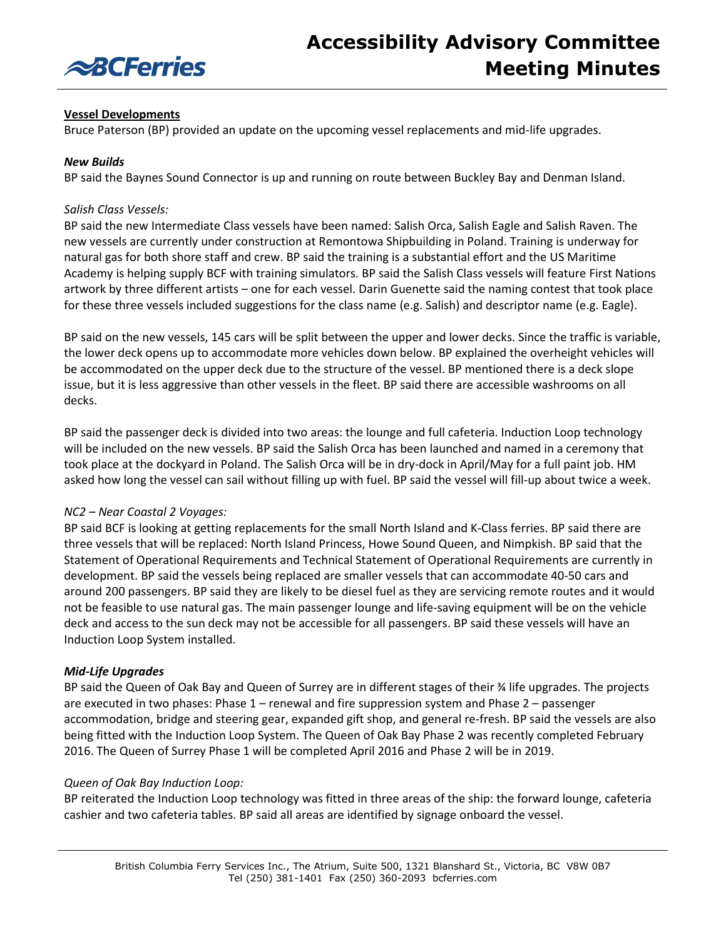

## **Vessel Developments**

Bruce Paterson (BP) provided an update on the upcoming vessel replacements and mid-life upgrades.

### *New Builds*

BP said the Baynes Sound Connector is up and running on route between Buckley Bay and Denman Island.

### *Salish Class Vessels:*

BP said the new Intermediate Class vessels have been named: Salish Orca, Salish Eagle and Salish Raven. The new vessels are currently under construction at Remontowa Shipbuilding in Poland. Training is underway for natural gas for both shore staff and crew. BP said the training is a substantial effort and the US Maritime Academy is helping supply BCF with training simulators. BP said the Salish Class vessels will feature First Nations artwork by three different artists – one for each vessel. Darin Guenette said the naming contest that took place for these three vessels included suggestions for the class name (e.g. Salish) and descriptor name (e.g. Eagle).

BP said on the new vessels, 145 cars will be split between the upper and lower decks. Since the traffic is variable, the lower deck opens up to accommodate more vehicles down below. BP explained the overheight vehicles will be accommodated on the upper deck due to the structure of the vessel. BP mentioned there is a deck slope issue, but it is less aggressive than other vessels in the fleet. BP said there are accessible washrooms on all decks.

BP said the passenger deck is divided into two areas: the lounge and full cafeteria. Induction Loop technology will be included on the new vessels. BP said the Salish Orca has been launched and named in a ceremony that took place at the dockyard in Poland. The Salish Orca will be in dry-dock in April/May for a full paint job. HM asked how long the vessel can sail without filling up with fuel. BP said the vessel will fill-up about twice a week.

### *NC2 – Near Coastal 2 Voyages:*

BP said BCF is looking at getting replacements for the small North Island and K-Class ferries. BP said there are three vessels that will be replaced: North Island Princess, Howe Sound Queen, and Nimpkish. BP said that the Statement of Operational Requirements and Technical Statement of Operational Requirements are currently in development. BP said the vessels being replaced are smaller vessels that can accommodate 40-50 cars and around 200 passengers. BP said they are likely to be diesel fuel as they are servicing remote routes and it would not be feasible to use natural gas. The main passenger lounge and life-saving equipment will be on the vehicle deck and access to the sun deck may not be accessible for all passengers. BP said these vessels will have an Induction Loop System installed.

### *Mid-Life Upgrades*

BP said the Queen of Oak Bay and Queen of Surrey are in different stages of their ¾ life upgrades. The projects are executed in two phases: Phase 1 – renewal and fire suppression system and Phase 2 – passenger accommodation, bridge and steering gear, expanded gift shop, and general re-fresh. BP said the vessels are also being fitted with the Induction Loop System. The Queen of Oak Bay Phase 2 was recently completed February 2016. The Queen of Surrey Phase 1 will be completed April 2016 and Phase 2 will be in 2019.

#### *Queen of Oak Bay Induction Loop:*

BP reiterated the Induction Loop technology was fitted in three areas of the ship: the forward lounge, cafeteria cashier and two cafeteria tables. BP said all areas are identified by signage onboard the vessel.